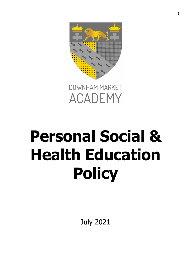



# **Personal Social & Health Education Policy**

July 2021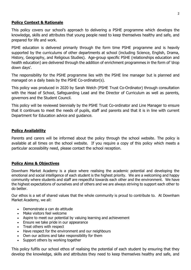## **Policy Context & Rationale**

This policy covers our school's approach to delivering a PSHE programme which develops the knowledge, skills and attributes that young people need to keep themselves healthy and safe, and prepared for life and work.

PSHE education is delivered primarily through the form time PSHE programme and is heavily supported by the curriculums of other departments at school (including Science, English, Drama, History, Geography, and Religious Studies). Age-group specific PSHE (relationships education and health education) are delivered through the addition of enrichment programmes in the form of 'drop down days'.

The responsibility for the PSHE programme lies with the PSHE line manager but is planned and managed on a daily basis by the PSHE Co-ordinator(s).

This policy was produced in 2020 by Sarah Welch (PSHE Trust Co-Ordinator) through consultation with the Head of School, Safeguarding Lead and the Director of Curriculum as well as parents, governors and the Student Council.

This policy will be reviewed biennially by the PSHE Trust Co-ordinator and Line Manager to ensure that it continues to meet the needs of pupils, staff and parents and that it is in line with current Department for Education advice and guidance.

## **Policy Availability**

Parents and carers will be informed about the policy through the school website. The policy is available at all times on the school website. If you require a copy of this policy which meets a particular accessibility need, please contact the school reception.

#### **Policy Aims & Objectives**

Downham Market Academy is a place where realising the academic potential and developing the emotional and social intelligence of each student is the highest priority. We are a welcoming and happy community where students and staff are respectful towards each other and the environment. We have the highest expectations of ourselves and of others and we are always striving to support each other to do better.

Our ethos is a set of shared values that the whole community is proud to contribute to. At Downham Market Academy, we all:

- Demonstrate a can do attitude
- Make visitors feel welcome
- Aspire to meet our potential by valuing learning and achievement
- Ensure we take pride in our appearance
- Treat others with respect
- Have respect for the environment and our neighbours
- Own our actions and take responsibility for them
- Support others by working together

This policy fulfils our school ethos of realising the potential of each student by ensuring that they develop the knowledge, skills and attributes they need to keep themselves healthy and safe, and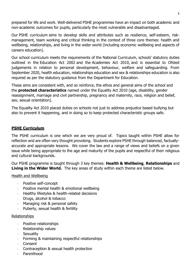prepared for life and work. Well-delivered PSHE programmes have an impact on both academic and non-academic outcomes for pupils, particularly the most vulnerable and disadvantaged.

Our PSHE curriculum aims to develop skills and attributes such as resilience, self-esteem, riskmanagement, team working and critical thinking in the context of three core themes: health and wellbeing, relationships, and living in the wider world (including economic wellbeing and aspects of careers education).

Our school curriculum meets the requirements of the National Curriculum, schools' statutory duties outlined in the [Education Act 2002](http://www.legislation.gov.uk/ukpga/2002/32/contents) and the [Academies Act 2010,](http://www.legislation.gov.uk/ukpga/2010/32/contents) and is essential to Ofsted judgements in relation to personal development, behaviour, welfare and safeguarding. From September 2020, health education, relationships education and sex & relationships education is also required as per the statutory guidance from the Department for Education.

These aims are consistent with, and so reinforce, the ethos and general aims of the school and the **protected characteristics** named under the Equality Act 2010 (age, disability, gender reassignment, marriage and civil partnership, pregnancy and maternity, race, religion and belief, sex, sexual orientation).

The Equality Act 2010 placed duties on schools not just to address prejudice based bullying but also to prevent it happening, and in doing so to keep protected characteristic groups safe.

## **PSHE Curriculum**

The PSHE curriculum is one which we are very proud of. Topics taught within PSHE allow for reflection and are often very thought provoking. Students explore PSHE through balanced, factuallyaccurate and appropriate lessons. We cover the law and a range of views and beliefs on a given issue while being appropriate to the age and maturity of the pupils and respectful of their religious and cultural backgrounds.

Our PSHE programme is taught through 3 key themes: **Health & Wellbeing**, **Relationships** and **Living in the Wider World.** The key areas of study within each theme are listed below.

#### Health and Wellbeing

- Positive self-concept
- Positive mental health & emotional wellbeing
- Healthy lifestyles & health-related decisions
- Drugs, alcohol & tobacco
- Managing risk & personal safety
- Puberty, sexual health & fertility

#### Relationships

- Positive relationships
- Relationship values
- Sexuality
- Forming & maintaining respectful relationships
- **Consent**
- Contraception & sexual health protection
- Parenthood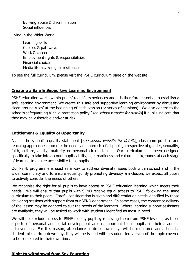- Bullying abuse & discrimination
- Social influences

#### Living in the Wider World

- Learning skills
- Choices & pathways
- Work & career
- Employment rights & responsibilities
- Financial choices
- Media literacy & digital resilience

To see the full curriculum, please visit the PSHE curriculum page on the website.

## **Creating a Safe & Supportive Learning Environment**

PSHE education works within pupils' real life experiences and it is therefore essential to establish a safe learning environment. We create this safe and supportive learning environment by discussing clear 'ground rules' at the beginning of each session (or series of sessions). We also adhere to the school's safeguarding & child protection policy [see school website for details] if pupils indicate that they may be vulnerable and/or at risk.

## **Entitlement & Equality of Opportunity**

As per the school's equality statement [see school website for details], classroom practice and teaching approaches promote the needs and interests of all pupils, irrespective of gender, sexuality, faith, culture, ability, maturity or personal circumstance. Our curriculum has been designed specifically to take into account pupils' ability, age, readiness and cultural backgrounds at each stage of learning to ensure accessibility to all pupils.

Our PSHE programme is used as a way to address diversity issues both within school and in the wider community and to ensure equality. By promoting diversity & inclusion, we expect all pupils to actively consider the needs of others.

We recognise the right for all pupils to have access to PSHE education learning which meets their needs. We will ensure that pupils with SEND receive equal access to PSHE following the same curriculum to their peers. Careful consideration is given and differentiation needs identified by those delivering sessions with support from our SEND department. In some cases, the content or delivery of the lesson may be adapted to suit the needs of the learners. Where learning support assistants are available, they will be tasked to work with students identified as most in need.

We will not exclude access to PSHE for any pupil by removing them from PSHE lessons, as these aspects of personal and social development are as important to all pupils as their academic achievement. For this reason, attendance at drop down days will be monitored and, should a student miss a drop down day, they will be issued with a student-led version of the topic covered to be completed in their own time.

## **Right to withdrawal from Sex Education**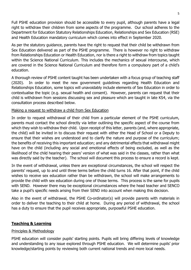Full PSHE education provision should be accessible to every pupil, although parents have a legal right to withdraw their children from some aspects of the programme. Our school adheres to the Department for Education Statutory Relationships Education, Relationships and Sex Education (RSE) and Health Education mandatory curriculum which comes into effect in September 2020.

As per the statutory guidance, parents have the right to request that their child be withdrawn from Sex Education delivered as part of the PSHE programme. There is however no right to withdraw from Relationships Education or Health Education, nor is there a right to withdraw from topics taught within the Science National Curriculum. This includes the mechanics of sexual intercourse, which are covered in the Science National Curriculum and therefore form a compulsory part of a child's education.

A thorough review of PSHE content taught has been undertaken with a focus group of teaching staff (2020). In order to meet the new government guidelines regarding Health Education and Relationships Education, some topics will unavoidably include elements of Sex Education in order to contextualise the topic (e.g. sexual health and consent). However, parents can request that their child is withdrawn from sessions discussing sex and pleasure which are taught in late KS4, via the consultation process described below.

#### Making a request to withdraw a child from Sex Education

In order to request withdrawal of their child from a particular element of the PSHE curriculum, parents must contact the school directly via letter outlining the specific aspect of the course from which they wish to withdraw their child. Upon receipt of this letter, parents (and, where appropriate, the child) will be invited in to discuss their request with either the Head of School or a Deputy to ensure that their wishes are understood and to clarify the nature and purpose of the curriculum; the benefits of receiving this important education; and any detrimental effects that withdrawal might have on the child (including any social and emotional effects of being excluded, as well as the likelihood of the child hearing their peers' version of what was said in the classes, rather than what was directly said by the teacher). The school will document this process to ensure a record is kept.

In the event of withdrawal, unless there are exceptional circumstances, the school will respect the parents' request, up to and until three terms before the child turns 16. After that point, if the child wishes to receive sex education rather than be withdrawn, the school will make arrangements to provide the child with sex education during one of those terms. This process is the same for pupils with SEND. However there may be exceptional circumstances where the head teacher and SENCO take a pupil's specific needs arising from their SEND into account when making this decision.

Also in the event of withdrawal, the PSHE Co-ordinator(s) will provide parents with materials in order to deliver the teaching to their child at home. During any period of withdrawal, the school has a duty to ensure that the pupil receives appropriate, purposeful PSHE education.

## **Teaching & Learning**

#### Principles & Methodology

PSHE education will consider pupils' starting points. Pupils will bring differing levels of knowledge and understanding to any issue explored through PSHE education. We will determine pupils' prior knowledge/starting points by reviewing both current national trends and more local needs.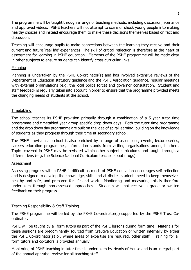The programme will be taught through a range of teaching methods, including discussion, scenarios and approved videos. PSHE teachers will not attempt to scare or shock young people into making healthy choices and instead encourage them to make these decisions themselves based on fact and discussion.

Teaching will encourage pupils to make connections between the learning they receive and their current and future 'real life' experiences. The skill of critical reflection is therefore at the heart of assessment for learning in PSHE education. Elements of the PSHE programme will be made clear in other subjects to ensure students can identify cross-curricular links.

#### Planning

Planning is undertaken by the PSHE Co-ordinator(s) and has involved extensive reviews of the Department of Education statutory guidance and the PSHE Association guidance, regular meetings with external organisations (e.g. the local police force) and governor consultation. Student and staff feedback is regularly taken into account in order to ensure that the programme provided meets the changing needs of students at the school.

## Timetabling

The school teaches its PSHE provision primarily through a combination of a 5 year tutor time programme and timetabled year group-specific drop down days. Both the tutor time programme and the drop down day programme are built on the idea of spiral learning, building on the knowledge of students as they progress through their time at secondary school.

The PSHE provision at school is also enriched by a range of assemblies, events, lecture series, careers education programmes, information stands from visiting organisations amongst others. Topics covered in PSHE may be revisited within other subject curriculums and taught through a different lens (e.g. the Science National Curriculum teaches about drugs).

#### Assessment

Assessing progress within PSHE is difficult as much of PSHE education encourages self-reflection and is designed to develop the knowledge, skills and attributes students need to keep themselves healthy and safe, and prepared for life and work. Monitoring and measuring this is therefore undertaken through non-assessed approaches. Students will not receive a grade or written feedback on their progress.

## Teaching Responsibility & Staff Training

The PSHE programme will be led by the PSHE Co-ordinator(s) supported by the PSHE Trust Coordinator.

PSHE will be taught by all form tutors as part of the PSHE lessons during form time. Materials for these sessions are predominantly sourced from Cre8tive Education or written internally by either the PSHE Co-ordinator(s) or, where areas of expertise are required, other staff. Training for all form tutors and co-tutors is provided annually.

Monitoring of PSHE teaching in tutor time is undertaken by Heads of House and is an integral part of the annual appraisal review for all teaching staff.